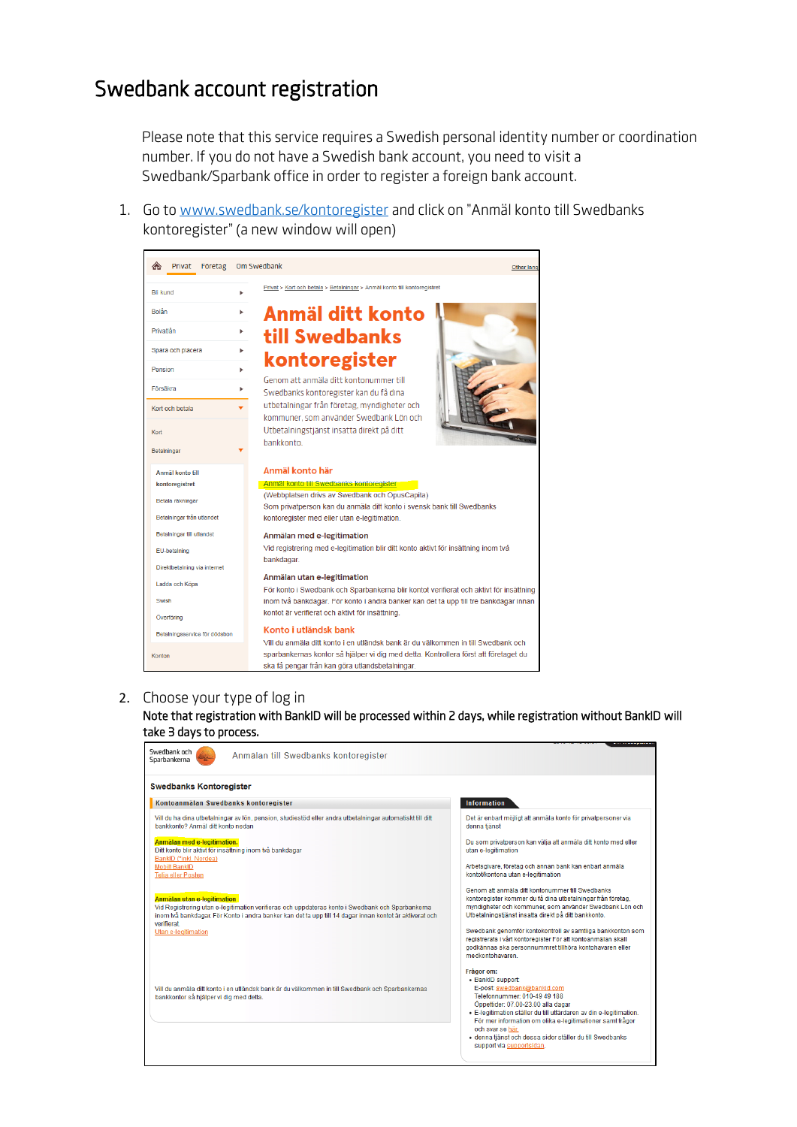# Swedbank account registration

Please note that this service requires a Swedish personal identity number or coordination number. If you do not have a Swedish bank account, you need to visit a Swedbank/Sparbank office in order to register a foreign bank account.

1. Go to [www.swedbank.se/kontoregister](http://www.swedbank.se/kontoregister) and click on "Anmäl konto till Swedbanks kontoregister" (a new window will open)



## 2. Choose your type of log in

Note that registration with BankID will be processed within 2 days, while registration without BankID will take 3 days to process.

| Swedbank och<br>Anmälan till Swedbanks kontoregister<br>Sparbankerna                                                                                                                                                                       |                                                                                                                                                                                                                                                                         |
|--------------------------------------------------------------------------------------------------------------------------------------------------------------------------------------------------------------------------------------------|-------------------------------------------------------------------------------------------------------------------------------------------------------------------------------------------------------------------------------------------------------------------------|
| <b>Swedbanks Kontoregister</b>                                                                                                                                                                                                             |                                                                                                                                                                                                                                                                         |
| Kontoanmälan Swedbanks kontoregister                                                                                                                                                                                                       | <b>Information</b>                                                                                                                                                                                                                                                      |
| Vill du ha dina utbetalningar av lön, pension, studiestöd eller andra utbetalningar automatiskt till ditt<br>bankkonto? Anmäl ditt konto nedan                                                                                             | Det är enbart möjligt att anmäla konto för privatpersoner via<br>denna tiänst                                                                                                                                                                                           |
| Anmälan med e-legitimation.<br>Ditt konto blir aktivt för insättning inom två bankdagar                                                                                                                                                    | Du som privatperson kan välja att anmäla ditt konto med eller<br>utan e-legitimation                                                                                                                                                                                    |
| BankID (*inkl. Nordea)<br><b>Mobilt BankID</b><br>Telia eller Posten                                                                                                                                                                       | Arbetsgivare, företag och annan bank kan enbart anmäla<br>kontot/kontona utan e-legitimation                                                                                                                                                                            |
| Anmälan utan e-legitimation<br>Vid Registrering utan e-legitimation verifieras och uppdateras konto i Swedbank och Sparbankerna<br>inom två bankdagar. För Konto i andra banker kan det ta upp till 14 dagar innan kontot är aktiverat och | Genom att anmäla ditt kontonummer till Swedbanks<br>kontoregister kommer du få dina utbetalningar från företag.<br>myndigheter och kommuner, som använder Swedbank Lön och<br>Utbetalningstjänst insatta direkt på ditt bankkonto.                                      |
| verifierat<br>Utan e-legitimation                                                                                                                                                                                                          | Swedbank genomför kontokontroll av samtliga bankkonton som<br>registrerats i vårt kontoregister För att kontoanmälan skall<br>godkännas ska personnummret tillhöra kontohavaren eller<br>medkontohavaren                                                                |
| Vill du anmäla ditt konto i en utländsk bank är du välkommen in till Swedbank och Sparbankernas<br>bankkontor så hjälper vi dig med detta.                                                                                                 | Frågor om:<br>• BankID support:<br>E-post: swedbank@bankid.com<br>Telefonnummer: 010-49 49 188<br>Öppettider: 07.00-23.00 alla dagar<br>· E-legitimation ställer du till utfärdaren av din e-legitimation.<br>För mer information om olika e-legitimationer samt frågor |
|                                                                                                                                                                                                                                            | och svar se här.<br>· denna tjänst och dessa sidor ställer du till Swedbanks<br>support via supportsidan.                                                                                                                                                               |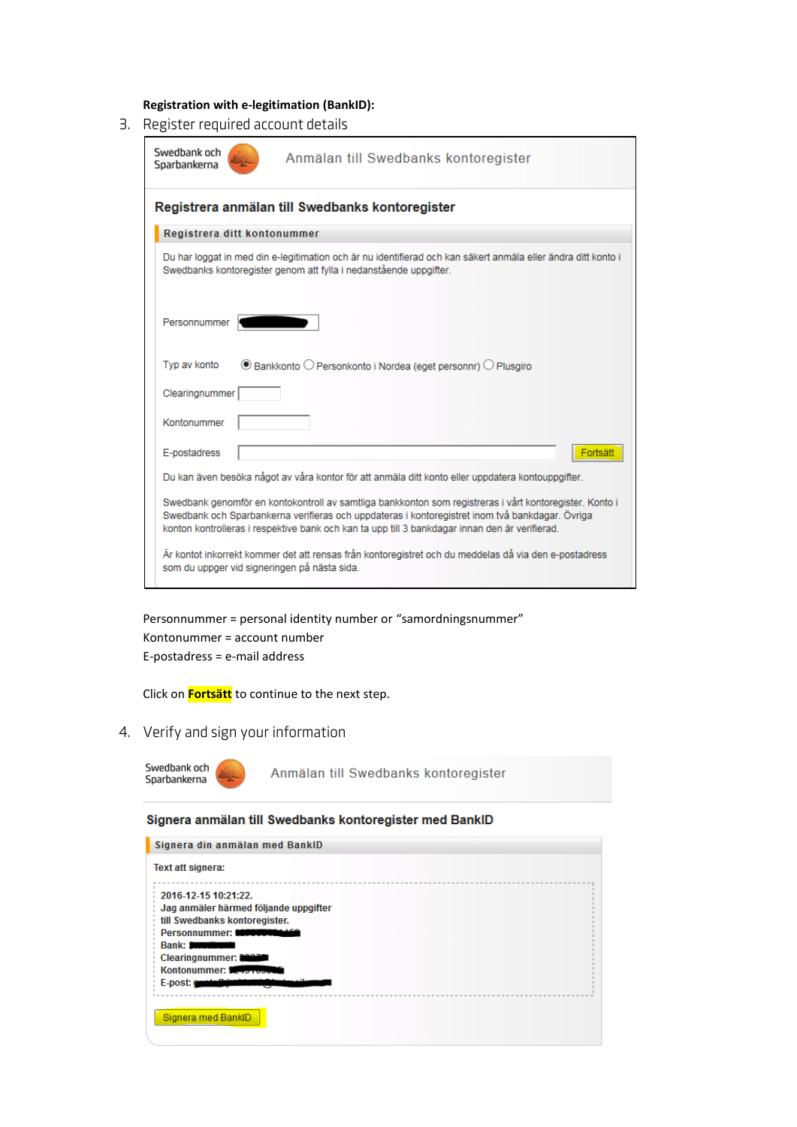**Registration with e-legitimation (BankID):**

3. Register required account details

| Swedbank och<br>Anmälan till Swedbanks kontoregister<br>Sparbankerna                                                                                                                                                                                                                                         |  |  |  |  |  |
|--------------------------------------------------------------------------------------------------------------------------------------------------------------------------------------------------------------------------------------------------------------------------------------------------------------|--|--|--|--|--|
| Registrera anmälan till Swedbanks kontoregister                                                                                                                                                                                                                                                              |  |  |  |  |  |
| Registrera ditt kontonummer                                                                                                                                                                                                                                                                                  |  |  |  |  |  |
| Du har loggat in med din e-legitimation och är nu identifierad och kan säkert anmäla eller ändra ditt konto i<br>Swedbanks kontoregister genom att fylla i nedanstående uppgifter.                                                                                                                           |  |  |  |  |  |
| Personnummer                                                                                                                                                                                                                                                                                                 |  |  |  |  |  |
| Typ av konto<br>$\circledcirc$ Bankkonto $\circlearrowright$ Personkonto i Nordea (eget personnr) $\circlearrowright$ Plusgiro                                                                                                                                                                               |  |  |  |  |  |
| Clearingnummer                                                                                                                                                                                                                                                                                               |  |  |  |  |  |
| Kontonummer                                                                                                                                                                                                                                                                                                  |  |  |  |  |  |
| E-postadress<br>Fortsät                                                                                                                                                                                                                                                                                      |  |  |  |  |  |
| Du kan även besöka något av våra kontor för att anmäla ditt konto eller uppdatera kontouppgifter.                                                                                                                                                                                                            |  |  |  |  |  |
| Swedbank genomför en kontokontroll av samtliga bankkonton som registreras i vårt kontoregister. Konto i<br>Swedbank och Sparbankerna verifieras och uppdateras i kontoregistret inom två bankdagar. Övriga<br>konton kontrolleras i respektive bank och kan ta upp till 3 bankdagar innan den är verifierad. |  |  |  |  |  |
| Är kontot inkorrekt kommer det att rensas från kontoregistret och du meddelas då via den e-postadress<br>som du uppger vid signeringen på nästa sida.                                                                                                                                                        |  |  |  |  |  |

Personnummer = personal identity number or "samordningsnummer" Kontonummer = account number E-postadress = e-mail address

Click on **Fortsätt** to continue to the next step.

- 4. Verify and sign your information
	- Swedbank och Successing Seri

Anmälan till Swedbanks kontoregister

## Signera anmälan till Swedbanks kontoregister med BanklD

| 2016-12-15 10:21:22.                  |  |  |  |
|---------------------------------------|--|--|--|
| Jag anmäler härmed följande uppgifter |  |  |  |
| till Swedbanks kontoregister.         |  |  |  |
| Personnummer: <b>WARRANGER</b>        |  |  |  |
| Bank: <b>Supplimant</b>               |  |  |  |
| Clearingnummer: 2007                  |  |  |  |
| Kontonummer: Service                  |  |  |  |
| E-post: contribute                    |  |  |  |
|                                       |  |  |  |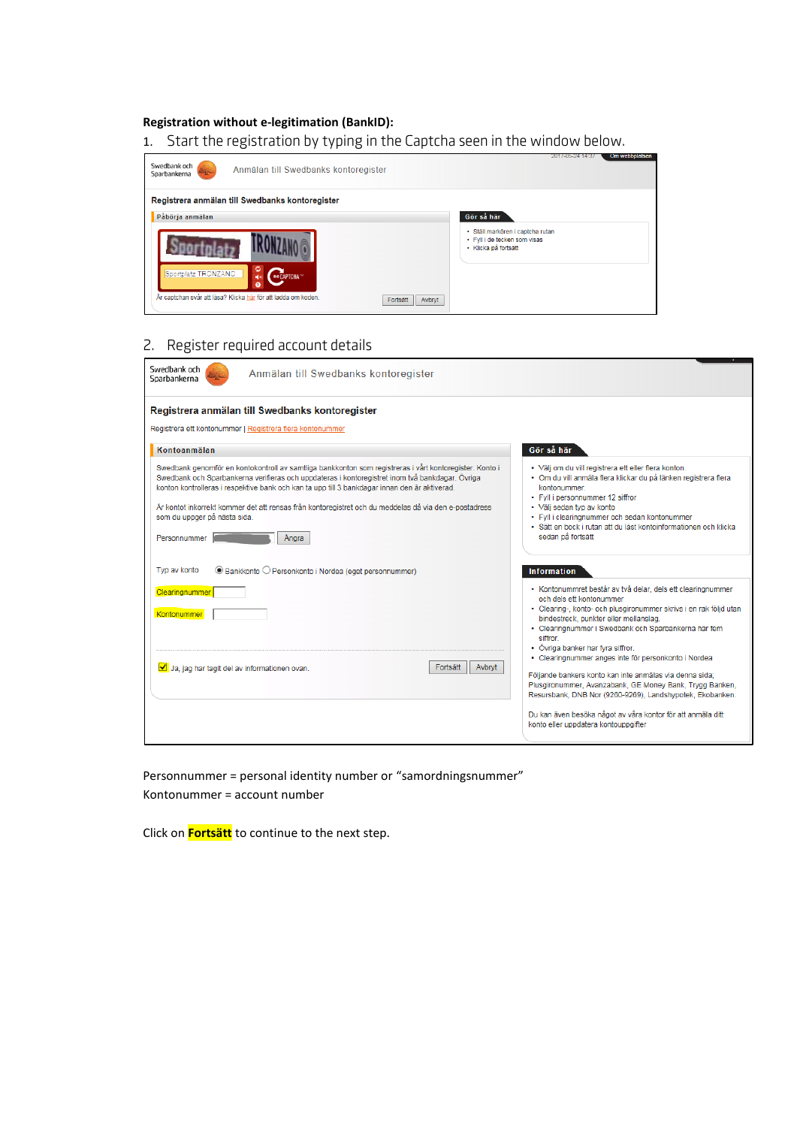## **Registration without e-legitimation (BankID):**

1. Start the registration by typing in the Captcha seen in the window below.



# 2. Register required account details

| Swedbank och<br>Anmälan till Swedbanks kontoregister<br>Sparbankerna                                                                                                                                                                                                                                                                                                                                                                                                          |                                                                                                                                                                                                                                                                                                                                                                                                                                                         |
|-------------------------------------------------------------------------------------------------------------------------------------------------------------------------------------------------------------------------------------------------------------------------------------------------------------------------------------------------------------------------------------------------------------------------------------------------------------------------------|---------------------------------------------------------------------------------------------------------------------------------------------------------------------------------------------------------------------------------------------------------------------------------------------------------------------------------------------------------------------------------------------------------------------------------------------------------|
| Registrera anmälan till Swedbanks kontoregister<br>Registrera ett kontonummer   Registrera flera kontonummer                                                                                                                                                                                                                                                                                                                                                                  |                                                                                                                                                                                                                                                                                                                                                                                                                                                         |
| Kontoanmälan                                                                                                                                                                                                                                                                                                                                                                                                                                                                  | Gör så här                                                                                                                                                                                                                                                                                                                                                                                                                                              |
| Swedbank genomför en kontokontroll av samtliga bankkonton som registreras i vårt kontoregister. Konto i<br>Swedbank och Sparbankerna verifieras och uppdateras i kontoregistret inom två bankdagar. Övriga<br>konton kontrolleras i respektive bank och kan ta upp till 3 bankdagar innan den är aktiverad.<br>Är kontot inkorrekt kommer det att rensas från kontoregistret och du meddelas då via den e-postadress<br>som du uppger på nästa sida.<br>Personnummer<br>Angra | · Välj om du vill registrera ett eller flera konton.<br>· Om du vill anmäla flera klickar du på länken registrera flera<br>kontonummer.<br>• FvII i personnummer 12 siffror<br>• Välj sedan typ av konto<br>· Fyll i clearingnummer och sedan kontonummer<br>· Sätt en bock i rutan att du läst kontoinformationen och klicka<br>sedan på fortsätt                                                                                                      |
| Typ av konto<br>● Bankkonto O Personkonto i Nordea (eget personnummer)<br>Clearingnummer<br>Kontonummer<br>Fortsätt<br>Avbryt<br>Ja, jag har tagit del av informationen ovan.                                                                                                                                                                                                                                                                                                 | <b>Information</b><br>· Kontonummret består av två delar, dels ett clearingnummer<br>och dels ett kontonummer<br>· Clearing-, konto- och plusgironummer skrivs i en rak följd utan<br>bindestreck, punkter eller mellanslag.<br>• Clearingnummer i Swedbank och Sparbankerna har fem<br>siffror<br>· Övriga banker har fyra siffror.<br>· Clearingnummer anges inte för personkonto i Nordea<br>Följande bankers konto kan inte anmälas via denna sida; |
|                                                                                                                                                                                                                                                                                                                                                                                                                                                                               | Plusgironummer, Avanzabank, GE Money Bank, Trygg Banken,<br>Resursbank, DNB Nor (9260-9269), Landshypotek, Ekobanken.<br>Du kan även besöka något av våra kontor för att anmäla ditt<br>konto eller uppdatera kontouppgifter                                                                                                                                                                                                                            |

Personnummer = personal identity number or "samordningsnummer" Kontonummer = account number

Click on **Fortsätt** to continue to the next step.